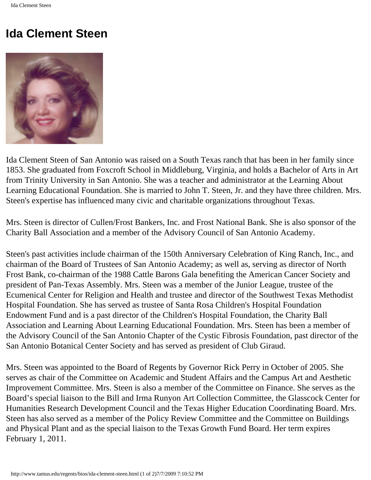## **Ida Clement Steen**



Ida Clement Steen of San Antonio was raised on a South Texas ranch that has been in her family since 1853. She graduated from Foxcroft School in Middleburg, Virginia, and holds a Bachelor of Arts in Art from Trinity University in San Antonio. She was a teacher and administrator at the Learning About Learning Educational Foundation. She is married to John T. Steen, Jr. and they have three children. Mrs. Steen's expertise has influenced many civic and charitable organizations throughout Texas.

Mrs. Steen is director of Cullen/Frost Bankers, Inc. and Frost National Bank. She is also sponsor of the Charity Ball Association and a member of the Advisory Council of San Antonio Academy.

Steen's past activities include chairman of the 150th Anniversary Celebration of King Ranch, Inc., and chairman of the Board of Trustees of San Antonio Academy; as well as, serving as director of North Frost Bank, co-chairman of the 1988 Cattle Barons Gala benefiting the American Cancer Society and president of Pan-Texas Assembly. Mrs. Steen was a member of the Junior League, trustee of the Ecumenical Center for Religion and Health and trustee and director of the Southwest Texas Methodist Hospital Foundation. She has served as trustee of Santa Rosa Children's Hospital Foundation Endowment Fund and is a past director of the Children's Hospital Foundation, the Charity Ball Association and Learning About Learning Educational Foundation. Mrs. Steen has been a member of the Advisory Council of the San Antonio Chapter of the Cystic Fibrosis Foundation, past director of the San Antonio Botanical Center Society and has served as president of Club Giraud.

Mrs. Steen was appointed to the Board of Regents by Governor Rick Perry in October of 2005. She serves as chair of the Committee on Academic and Student Affairs and the Campus Art and Aesthetic Improvement Committee. Mrs. Steen is also a member of the Committee on Finance. She serves as the Board's special liaison to the Bill and Irma Runyon Art Collection Committee, the Glasscock Center for Humanities Research Development Council and the Texas Higher Education Coordinating Board. Mrs. Steen has also served as a member of the Policy Review Committee and the Committee on Buildings and Physical Plant and as the special liaison to the Texas Growth Fund Board. Her term expires February 1, 2011.